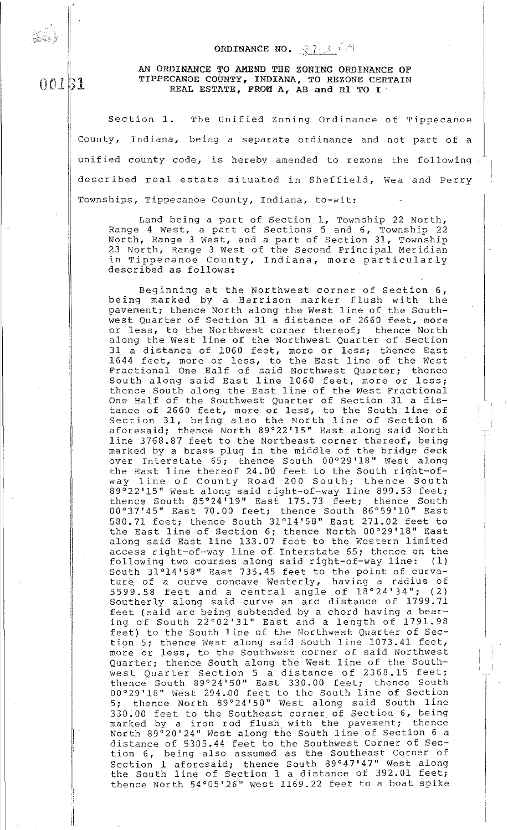## ORDINANCE NO.  $\sqrt{7}$  - 3  $\cdot$  <sup>6.4</sup>

## AN ORDINANCE TO AMEND THE ZONING ORDINANCE OF TIPPECANOE COUNTY, INDIANA, TO REZONE CERTAIN REAL ESTATE, FROM A, AB and Rl TO I

ii

.I  $\vert$ 

ii

II.

! ii

OOLBl

ه دي.<br>قو<mark>ر</mark>ه

Section 1. The Unified Zoning Ordinance of Tippecanoe County, Indiana, being a separate ordinance and not part of a unified county code, is hereby amended to rezone the following described real estate situated in Sheffield, Wea and Perry Townships, Tippecanoe County, Indiana, to-wit:

Land being a part of Section 1, Township 22 North, Range 4 West, a part of Sections 5 and 6, Township 22 North, Range 3 West, and a part of Section 31, Township 23 North, Range 3 West of the Second Principal Meridian in Tippecanoe County, Indiana, more particularly described as follows:

Beginning at the Northwest corner of Section 6, being marked by a Harrison marker flush with the pavement; thence North along the West line of the Southwest Quarter of Section 31 a distance of 2660 feet, more or less, to the Northwest corner thereof; thence North along the West line of the Northwest Quarter of Section along the nest arms of the northwest gadreer of Decerton 1644 feet, more or less, to the East line of the West Fractional One Half of said Northwest Quarter; thence stactional one hair of Said Northwest gaarder, enemed thence South along the East line of the West Fractional One Half of the Southwest Quarter of Section 31 a distance of 2660 feet, more or less, to the South line of eance of 2000 feet, more of less, to the South line of aforesaid; thence North 89°22'15" East along said North line 3768.87 feet to the Northeast corner thereof, being marked by a brass plug in the middle of the bridge deck over Interstate 65; thence South 00°29'18" West along the East line thereof 24.00 feet to the South right-ofthe East line thereof 24.00 leet to the South fight-of-<br>way line of County Road 200 South; thence South 89°22'15" west along said right-of-way line 899.53 feet; thence South 85°24'19" East 175.73 feet; thence South 00°37'45" East 70.00 feet; thence South 86°59'10" East 580.71 feet; thence South 31°14'58" East 271.02 feet to the East line of Section 6; thence North 00°29'18" East along said East line 133.07 feet to the Western limited access right-of-way line of Interstate 65; thence on the following two courses along said right-of-way line: (1) South 31°14'58" East 735.45 feet to the point of curvature. of a curve concave Westerly, having a radius of  $5599.58$  feet and a central angle of  $18^{\circ}24'34"$ ; (2) Southerly along said curve an arc distance of 1799. 71 feet (said arc being subtended by a chord having a bearing of South 22°02'31" East and a length of 1791.98 feet) to the South line of the Northwest Quarter of Section 5; thence West along said South line 1073.41 feet, more or less, to the Southwest corner of said Northwest Quarter; thence South along the West line of the Southwest Quarter Section 5 a distance of 2368.15 feet; thence South 89°24'50" East 330.00 feet; thence South 00°29'18" West 294.~0 feet to the South line of Section 5; thence North 89°24'50" West along said South line 330.00 feet to the Southeast corner of Section 6, being marked by a iron rod flush with the pavement; thence North 89°20'24'' West along the South line of Section 6 a distance of 5305.44 feet to the southwest Corner of Section 6, being also assumed as the Southeast Corner of Section 1 aforesaid; thence South 89°47'47" West along the South line of Section 1 a distance of 392.01 feet; thence North 54°05'26" west 1169.22 feet to a boat spike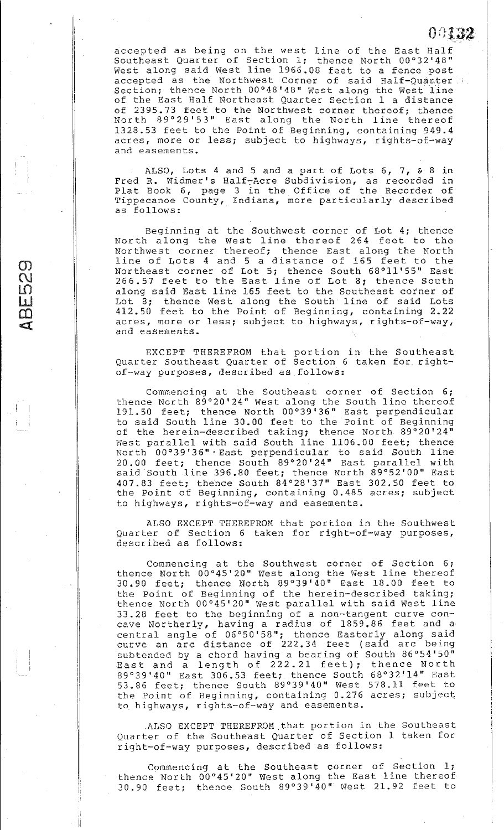accepted as being on the west line of the East Half Southeast Quarter of Section l; thence North 00°32'48" boddhadoo gaarser on receasing, dhanse horem oo grieg accepted as the Northwest Corner of said Half-Quarter. Section; thence North 00°48'48" West along the West line of the East Half Northeast Quarter Section **1** a distance of 2395.73 feet to the Northwest corner thereof; thence North 89°29'53" East along the North line thereof 1328.53 feet to the Point of Beginning, containing 949.4 acres, more or less; subject to highways, rights-of-way and easements.

**(Jt}J.32** 

ALSO, Lots 4 and 5 and a part of Lots 6, 7, & 8 in Fred R. Widmer's Half-Acre Subdivision, as recorded in Plat Book 6, page 3 in the Office of the Recorder of Tippecanoe County, Indiana, more particularly described as follows:

Beginning at the Southwest corner of Lot 4; thence North along the West line thereof 264 feet to the Northwest corner thereof; thence East along the North line of Lots 4 and 5 a distance of 165 feet to the Northeast corner of Lot 5; thence South 68°11'55" East 266.57 feet to the East line of Lot 8; thence South along said East line 165 feet to the Southeast corner of Lot 8; thence West along the South line of said Lots 412.50 feet to the Point of Beginning, containing 2.22 acres, more or less; subject to highways, rights-of-way, and easements.

 $\sigma$  $\mathcal{C}$  $\mathsf{L}\mathsf{D}$  $\tilde{\mathbf{u}}$  $\overline{\mathbf{C}}$  $\mathbb{C}$ 

 $\begin{bmatrix} \cdot & \cdot & \cdot \\ \cdot & \cdot & \cdot \\ \cdot & \cdot & \cdot \end{bmatrix}$ 

 $\vert$ 

EXCEPT THEREFROM that portion in the Southeast Quarter Southeast Quarter of Section 6 taken for rightof-way purposes, described as follows:

Commencing at the Southeast corner of Section 6; thence North 89°20'24" West along the South line thereof 191. 50 feet; thence North 00°39 '36" East perpendicular to said South line 30.00 feet to the Point of Beginning of the herein-described taking; thence North 89°20' 24" West parallel with said South line 1106.00 feet; thence North 00°39'36" ·East perpendicular to said South line 20.00 feet; thence South 89°20'24" East parallel with said South line 396.80 feet; thence North 89°52'00" East 407.83 feet; thence South 84°28'37" East 302.50 feet to the Point of Beginning, containing 0.485 acres; subject to highways, rights-of-way and easements.

ALSO EXCEPT THEREFROM that portion in the Southwest Quarter of Section 6 taken for right-of-way purposes, described as follows:

Commencing at the Southwest corner of Section 6; thence North 00°45'20" West along the West line thereof 30.90 feet; thence North 89°39'40" East 18.00 feet to the Point of Beginning of the herein-described taking; thence North 00°45'20" West parallel with said West line 33.28 feet to the beginning of a non-tangent curve concave Northerly, having a radius of 1859.86 feet and a central angle of 06°50'58"; thence Easterly along said curve an arc distance of 222. 34 feet (said arc being subtended by a chord having a bearing of South 86°54'50" subtended by a chord having a bearing of South 30 34 30<br>East and a length of 222.21 feet); thence North 89°39'40" East 306.53 feet; thence South 68°32'14" East 53.86 feet; thence South 89°39'40" West 578.11 feet to the Point of Beginning, containing 0.276 acres; subject to highways, rights-of-way and easements .

. ALSO EXCEPT THEREFROM.that portion in the Southeast Quarter of the Southeast Quarter of Section **1** taken for right-of-way purposes, described as follows:

Commencing at the Southeast corner of Section **l;**  thence North 00°45'20" West along the East line thereof 30.90 feet; thence South 89°39'40" West 21.92 feet to